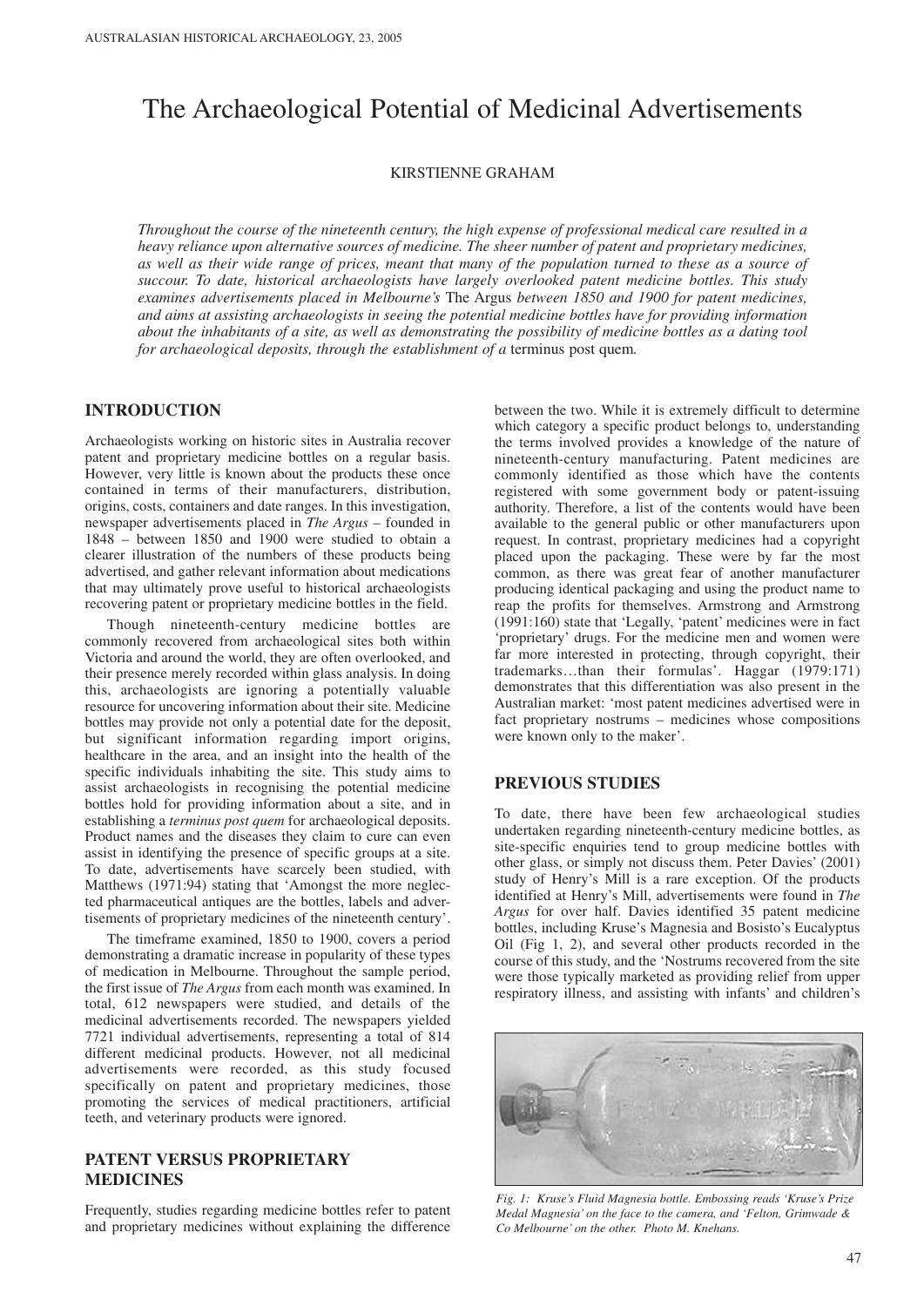# The Archaeological Potential of Medicinal Advertisements

KIRSTIENNE GRAHAM

*Throughout the course of the nineteenth century, the high expense of professional medical care resulted in a heavy reliance upon alternative sources of medicine. The sheer number of patent and proprietary medicines, as well as their wide range of prices, meant that many of the population turned to these as a source of succour. To date, historical archaeologists have largely overlooked patent medicine bottles. This study examines advertisements placed in Melbourne's* The Argus *between 1850 and 1900 for patent medicines, and aims at assisting archaeologists in seeing the potential medicine bottles have for providing information about the inhabitants of a site, as well as demonstrating the possibility of medicine bottles as a dating tool for archaeological deposits, through the establishment of a terminus post quem.* 

#### **INTRODUCTION**

Archaeologists working on historic sites in Australia recover patent and proprietary medicine bottles on a regular basis. However, very little is known about the products these once contained in terms of their manufacturers, distribution, origins, costs, containers and date ranges. In this investigation, newspaper advertisements placed in *The Argus* – founded in 1848 – between 1850 and 1900 were studied to obtain a clearer illustration of the numbers of these products being advertised, and gather relevant information about medications that may ultimately prove useful to historical archaeologists recovering patent or proprietary medicine bottles in the field.

Though nineteenth-century medicine bottles are commonly recovered from archaeological sites both within Victoria and around the world, they are often overlooked, and their presence merely recorded within glass analysis. In doing this, archaeologists are ignoring a potentially valuable resource for uncovering information about their site. Medicine bottles may provide not only a potential date for the deposit, but significant information regarding import origins, healthcare in the area, and an insight into the health of the specific individuals inhabiting the site. This study aims to assist archaeologists in recognising the potential medicine bottles hold for providing information about a site, and in establishing a *terminus post quem* for archaeological deposits. Product names and the diseases they claim to cure can even assist in identifying the presence of specific groups at a site. To date, advertisements have scarcely been studied, with Matthews (1971:94) stating that 'Amongst the more neglected pharmaceutical antiques are the bottles, labels and advertisements of proprietary medicines of the nineteenth century'.

The timeframe examined, 1850 to 1900, covers a period demonstrating a dramatic increase in popularity of these types of medication in Melbourne. Throughout the sample period, the first issue of *The Argus* from each month was examined. In total, 612 newspapers were studied, and details of the medicinal advertisements recorded. The newspapers yielded 7721 individual advertisements, representing a total of 814 different medicinal products. However, not all medicinal advertisements were recorded, as this study focused specifically on patent and proprietary medicines, those promoting the services of medical practitioners, artificial teeth, and veterinary products were ignored.

# **PATENT VERSUS PROPRIETARY MEDICINES**

Frequently, studies regarding medicine bottles refer to patent and proprietary medicines without explaining the difference between the two. While it is extremely difficult to determine which category a specific product belongs to, understanding the terms involved provides a knowledge of the nature of nineteenth-century manufacturing. Patent medicines are commonly identified as those which have the contents registered with some government body or patent-issuing authority. Therefore, a list of the contents would have been available to the general public or other manufacturers upon request. In contrast, proprietary medicines had a copyright placed upon the packaging. These were by far the most common, as there was great fear of another manufacturer producing identical packaging and using the product name to reap the profits for themselves. Armstrong and Armstrong (1991:160) state that 'Legally, 'patent' medicines were in fact 'proprietary' drugs. For the medicine men and women were far more interested in protecting, through copyright, their trademarks…than their formulas'. Haggar (1979:171) demonstrates that this differentiation was also present in the Australian market: 'most patent medicines advertised were in fact proprietary nostrums – medicines whose compositions were known only to the maker'.

#### **PREVIOUS STUDIES**

To date, there have been few archaeological studies undertaken regarding nineteenth-century medicine bottles, as site-specific enquiries tend to group medicine bottles with other glass, or simply not discuss them. Peter Davies' (2001) study of Henry's Mill is a rare exception. Of the products identified at Henry's Mill, advertisements were found in *The Argus* for over half. Davies identified 35 patent medicine bottles, including Kruse's Magnesia and Bosisto's Eucalyptus Oil (Fig 1, 2), and several other products recorded in the course of this study, and the 'Nostrums recovered from the site were those typically marketed as providing relief from upper respiratory illness, and assisting with infants' and children's



*Fig. 1: Kruse's Fluid Magnesia bottle. Embossing reads 'Kruse's Prize Medal Magnesia' on the face to the camera, and 'Felton, Grimwade & Co Melbourne' on the other. Photo M. Knehans.*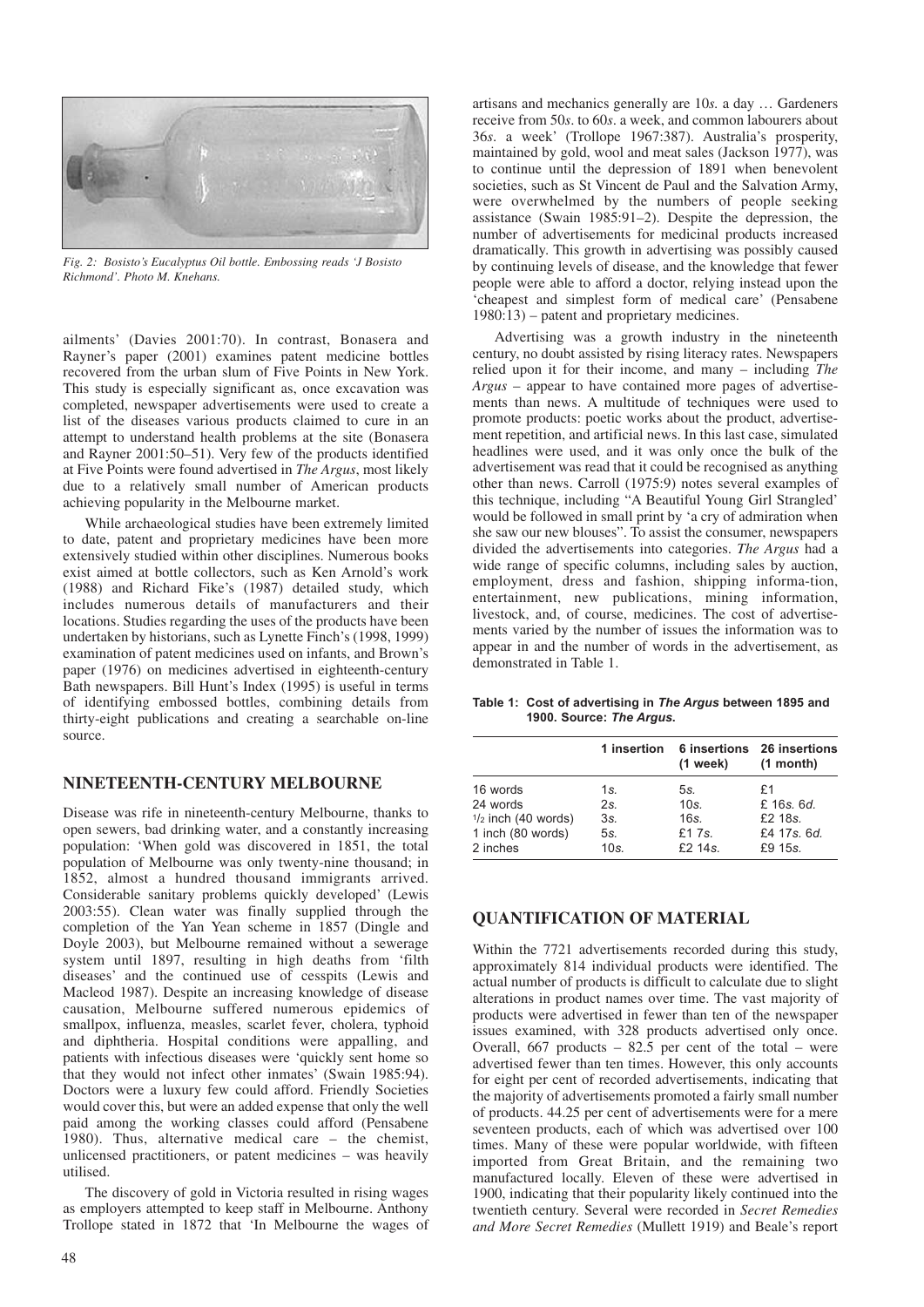

*Fig. 2: Bosisto's Eucalyptus Oil bottle. Embossing reads 'J Bosisto Richmond'. Photo M. Knehans.*

ailments' (Davies 2001:70). In contrast, Bonasera and Rayner's paper (2001) examines patent medicine bottles recovered from the urban slum of Five Points in New York. This study is especially significant as, once excavation was completed, newspaper advertisements were used to create a list of the diseases various products claimed to cure in an attempt to understand health problems at the site (Bonasera and Rayner 2001:50–51). Very few of the products identified at Five Points were found advertised in *The Argus*, most likely due to a relatively small number of American products achieving popularity in the Melbourne market.

While archaeological studies have been extremely limited to date, patent and proprietary medicines have been more extensively studied within other disciplines. Numerous books exist aimed at bottle collectors, such as Ken Arnold's work (1988) and Richard Fike's (1987) detailed study, which includes numerous details of manufacturers and their locations. Studies regarding the uses of the products have been undertaken by historians, such as Lynette Finch's (1998, 1999) examination of patent medicines used on infants, and Brown's paper (1976) on medicines advertised in eighteenth-century Bath newspapers. Bill Hunt's Index (1995) is useful in terms of identifying embossed bottles, combining details from thirty-eight publications and creating a searchable on-line source.

#### **NINETEENTH-CENTURY MELBOURNE**

Disease was rife in nineteenth-century Melbourne, thanks to open sewers, bad drinking water, and a constantly increasing population: 'When gold was discovered in 1851, the total population of Melbourne was only twenty-nine thousand; in 1852, almost a hundred thousand immigrants arrived. Considerable sanitary problems quickly developed' (Lewis 2003:55). Clean water was finally supplied through the completion of the Yan Yean scheme in 1857 (Dingle and Doyle 2003), but Melbourne remained without a sewerage system until 1897, resulting in high deaths from 'filth diseases' and the continued use of cesspits (Lewis and Macleod 1987). Despite an increasing knowledge of disease causation, Melbourne suffered numerous epidemics of smallpox, influenza, measles, scarlet fever, cholera, typhoid and diphtheria. Hospital conditions were appalling, and patients with infectious diseases were 'quickly sent home so that they would not infect other inmates' (Swain 1985:94). Doctors were a luxury few could afford. Friendly Societies would cover this, but were an added expense that only the well paid among the working classes could afford (Pensabene 1980). Thus, alternative medical care – the chemist, unlicensed practitioners, or patent medicines – was heavily utilised.

The discovery of gold in Victoria resulted in rising wages as employers attempted to keep staff in Melbourne. Anthony Trollope stated in 1872 that 'In Melbourne the wages of artisans and mechanics generally are 10*s.* a day … Gardeners receive from 50*s*. to 60*s*. a week, and common labourers about 36*s*. a week' (Trollope 1967:387). Australia's prosperity, maintained by gold, wool and meat sales (Jackson 1977), was to continue until the depression of 1891 when benevolent societies, such as St Vincent de Paul and the Salvation Army, were overwhelmed by the numbers of people seeking assistance (Swain 1985:91–2). Despite the depression, the number of advertisements for medicinal products increased dramatically. This growth in advertising was possibly caused by continuing levels of disease, and the knowledge that fewer people were able to afford a doctor, relying instead upon the 'cheapest and simplest form of medical care' (Pensabene 1980:13) – patent and proprietary medicines.

Advertising was a growth industry in the nineteenth century, no doubt assisted by rising literacy rates. Newspapers relied upon it for their income, and many – including *The Argus* – appear to have contained more pages of advertisements than news. A multitude of techniques were used to promote products: poetic works about the product, advertisement repetition, and artificial news. In this last case, simulated headlines were used, and it was only once the bulk of the advertisement was read that it could be recognised as anything other than news. Carroll (1975:9) notes several examples of this technique, including "A Beautiful Young Girl Strangled' would be followed in small print by 'a cry of admiration when she saw our new blouses". To assist the consumer, newspapers divided the advertisements into categories. *The Argus* had a wide range of specific columns, including sales by auction, employment, dress and fashion, shipping informa-tion, entertainment, new publications, mining information, livestock, and, of course, medicines. The cost of advertisements varied by the number of issues the information was to appear in and the number of words in the advertisement, as demonstrated in Table 1.

**Table 1: Cost of advertising in** *The Argus* **between 1895 and 1900. Source:** *The Argus***.**

|                       | 1 insertion | $(1$ week) | 6 insertions 26 insertions<br>$(1$ month) |  |
|-----------------------|-------------|------------|-------------------------------------------|--|
| 16 words              | 1s.         | 5s.        | £1                                        |  |
| 24 words              | $2s$ .      | $10s$ .    | £ 16s, 6d.                                |  |
| $1/2$ inch (40 words) | 3s.         | 16s.       | £2 18s.                                   |  |
| 1 inch (80 words)     | 5s.         | £17s.      | £4 17s, 6d.                               |  |
| 2 inches              | $10s$ .     | $f2$ 14s.  | £9 15s.                                   |  |

# **QUANTIFICATION OF MATERIAL**

Within the 7721 advertisements recorded during this study, approximately 814 individual products were identified. The actual number of products is difficult to calculate due to slight alterations in product names over time. The vast majority of products were advertised in fewer than ten of the newspaper issues examined, with 328 products advertised only once. Overall, 667 products –  $82.\overline{5}$  per cent of the total – were advertised fewer than ten times. However, this only accounts for eight per cent of recorded advertisements, indicating that the majority of advertisements promoted a fairly small number of products. 44.25 per cent of advertisements were for a mere seventeen products, each of which was advertised over 100 times. Many of these were popular worldwide, with fifteen imported from Great Britain, and the remaining two manufactured locally. Eleven of these were advertised in 1900, indicating that their popularity likely continued into the twentieth century. Several were recorded in *Secret Remedies and More Secret Remedies* (Mullett 1919) and Beale's report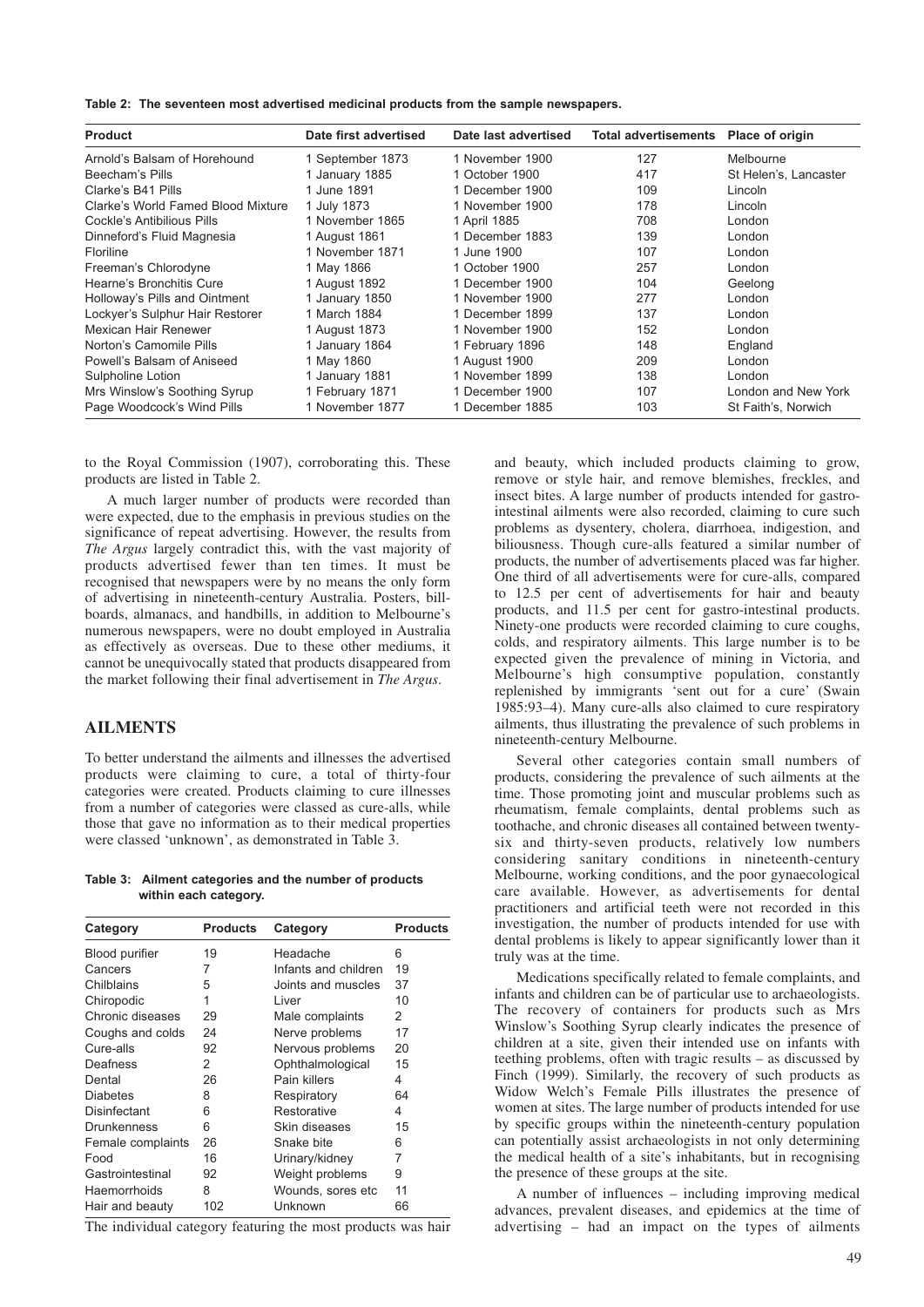**Table 2: The seventeen most advertised medicinal products from the sample newspapers.**

| <b>Product</b>                     | Date first advertised | Date last advertised | Total advertisements Place of origin |                       |
|------------------------------------|-----------------------|----------------------|--------------------------------------|-----------------------|
| Arnold's Balsam of Horehound       | 1 September 1873      | 1 November 1900      | 127                                  | Melbourne             |
| Beecham's Pills                    | 1 January 1885        | 1 October 1900       | 417                                  | St Helen's, Lancaster |
| Clarke's B41 Pills                 | 1 June 1891           | 1 December 1900      | 109                                  | Lincoln               |
| Clarke's World Famed Blood Mixture | 1 July 1873           | 1 November 1900      | 178                                  | Lincoln               |
| Cockle's Antibilious Pills         | 1 November 1865       | 1 April 1885         | 708                                  | London                |
| Dinneford's Fluid Magnesia         | 1 August 1861         | 1 December 1883      | 139                                  | London                |
| Floriline                          | 1 November 1871       | 1 June 1900          | 107                                  | London                |
| Freeman's Chlorodyne               | 1 May 1866            | 1 October 1900       | 257                                  | London                |
| Hearne's Bronchitis Cure           | 1 August 1892         | 1 December 1900      | 104                                  | Geelong               |
| Holloway's Pills and Ointment      | 1 January 1850        | 1 November 1900      | 277                                  | London                |
| Lockyer's Sulphur Hair Restorer    | 1 March 1884          | 1 December 1899      | 137                                  | London                |
| Mexican Hair Renewer               | 1 August 1873         | 1 November 1900      | 152                                  | London                |
| Norton's Camomile Pills            | 1 January 1864        | 1 February 1896      | 148                                  | England               |
| Powell's Balsam of Aniseed         | 1 May 1860            | 1 August 1900        | 209                                  | London                |
| Sulpholine Lotion                  | 1 January 1881        | 1 November 1899      | 138                                  | London                |
| Mrs Winslow's Soothing Syrup       | 1 February 1871       | 1 December 1900      | 107                                  | London and New York   |
| Page Woodcock's Wind Pills         | 1 November 1877       | 1 December 1885      | 103                                  | St Faith's, Norwich   |

to the Royal Commission (1907), corroborating this. These products are listed in Table 2.

A much larger number of products were recorded than were expected, due to the emphasis in previous studies on the significance of repeat advertising. However, the results from *The Argus* largely contradict this, with the vast majority of products advertised fewer than ten times. It must be recognised that newspapers were by no means the only form of advertising in nineteenth-century Australia. Posters, billboards, almanacs, and handbills, in addition to Melbourne's numerous newspapers, were no doubt employed in Australia as effectively as overseas. Due to these other mediums, it cannot be unequivocally stated that products disappeared from the market following their final advertisement in *The Argus*.

# **AILMENTS**

To better understand the ailments and illnesses the advertised products were claiming to cure, a total of thirty-four categories were created. Products claiming to cure illnesses from a number of categories were classed as cure-alls, while those that gave no information as to their medical properties were classed 'unknown', as demonstrated in Table 3.

**Table 3: Ailment categories and the number of products within each category.**

| Category              | <b>Products</b> | Category             | <b>Products</b> |
|-----------------------|-----------------|----------------------|-----------------|
| <b>Blood purifier</b> | 19              | Headache             | 6               |
| Cancers               | 7               | Infants and children | 19              |
| Chilblains            | 5               | Joints and muscles   | 37              |
| Chiropodic            | 1               | Liver                | 10              |
| Chronic diseases      | 29              | Male complaints      | 2               |
| Coughs and colds      | 24              | Nerve problems       | 17              |
| Cure-alls             | 92              | Nervous problems     | 20              |
| Deafness              | 2               | Ophthalmological     | 15              |
| Dental                | 26              | Pain killers         | 4               |
| <b>Diabetes</b>       | 8               | Respiratory          | 64              |
| Disinfectant          | 6               | Restorative          | 4               |
| Drunkenness           | 6               | Skin diseases        | 15              |
| Female complaints     | 26              | Snake bite           | 6               |
| Food                  | 16              | Urinary/kidney       | 7               |
| Gastrointestinal      | 92              | Weight problems      | 9               |
| Haemorrhoids          | 8               | Wounds, sores etc    | 11              |
| Hair and beauty       | 102             | Unknown              | 66              |

The individual category featuring the most products was hair

and beauty, which included products claiming to grow, remove or style hair, and remove blemishes, freckles, and insect bites. A large number of products intended for gastrointestinal ailments were also recorded, claiming to cure such problems as dysentery, cholera, diarrhoea, indigestion, and biliousness. Though cure-alls featured a similar number of products, the number of advertisements placed was far higher. One third of all advertisements were for cure-alls, compared to 12.5 per cent of advertisements for hair and beauty products, and 11.5 per cent for gastro-intestinal products. Ninety-one products were recorded claiming to cure coughs, colds, and respiratory ailments. This large number is to be expected given the prevalence of mining in Victoria, and Melbourne's high consumptive population, constantly replenished by immigrants 'sent out for a cure' (Swain 1985:93–4). Many cure-alls also claimed to cure respiratory ailments, thus illustrating the prevalence of such problems in nineteenth-century Melbourne.

Several other categories contain small numbers of products, considering the prevalence of such ailments at the time. Those promoting joint and muscular problems such as rheumatism, female complaints, dental problems such as toothache, and chronic diseases all contained between twentysix and thirty-seven products, relatively low numbers considering sanitary conditions in nineteenth-century Melbourne, working conditions, and the poor gynaecological care available. However, as advertisements for dental practitioners and artificial teeth were not recorded in this investigation, the number of products intended for use with dental problems is likely to appear significantly lower than it truly was at the time.

Medications specifically related to female complaints, and infants and children can be of particular use to archaeologists. The recovery of containers for products such as Mrs Winslow's Soothing Syrup clearly indicates the presence of children at a site, given their intended use on infants with teething problems, often with tragic results – as discussed by Finch (1999). Similarly, the recovery of such products as Widow Welch's Female Pills illustrates the presence of women at sites. The large number of products intended for use by specific groups within the nineteenth-century population can potentially assist archaeologists in not only determining the medical health of a site's inhabitants, but in recognising the presence of these groups at the site.

A number of influences – including improving medical advances, prevalent diseases, and epidemics at the time of advertising – had an impact on the types of ailments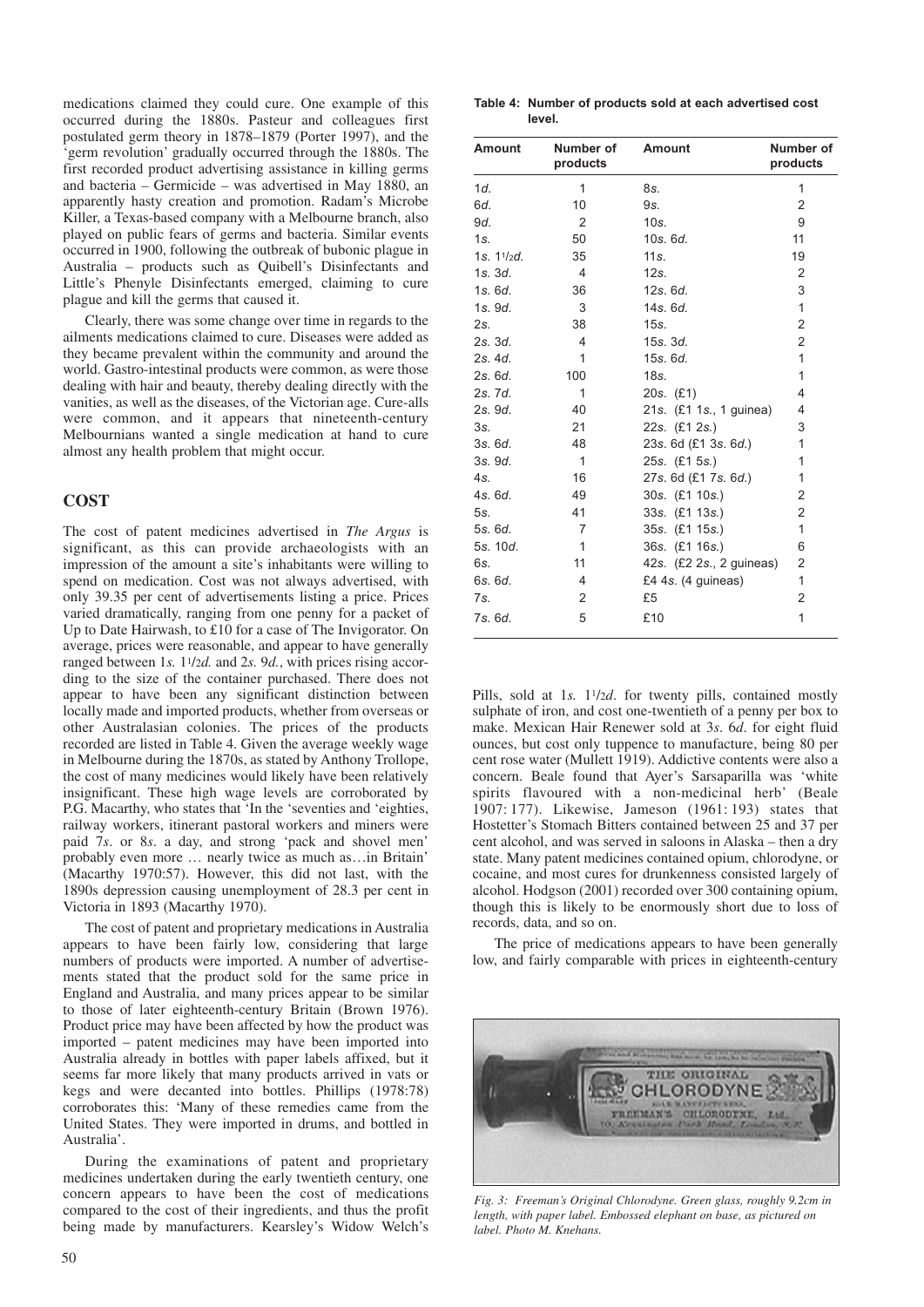medications claimed they could cure. One example of this occurred during the 1880s. Pasteur and colleagues first postulated germ theory in 1878–1879 (Porter 1997), and the 'germ revolution' gradually occurred through the 1880s. The first recorded product advertising assistance in killing germs and bacteria – Germicide – was advertised in May 1880, an apparently hasty creation and promotion. Radam's Microbe Killer, a Texas-based company with a Melbourne branch, also played on public fears of germs and bacteria. Similar events occurred in 1900, following the outbreak of bubonic plague in Australia – products such as Quibell's Disinfectants and Little's Phenyle Disinfectants emerged, claiming to cure plague and kill the germs that caused it.

Clearly, there was some change over time in regards to the ailments medications claimed to cure. Diseases were added as they became prevalent within the community and around the world. Gastro-intestinal products were common, as were those dealing with hair and beauty, thereby dealing directly with the vanities, as well as the diseases, of the Victorian age. Cure-alls were common, and it appears that nineteenth-century Melbournians wanted a single medication at hand to cure almost any health problem that might occur.

# **COST**

The cost of patent medicines advertised in *The Argus* is significant, as this can provide archaeologists with an impression of the amount a site's inhabitants were willing to spend on medication. Cost was not always advertised, with only 39.35 per cent of advertisements listing a price. Prices varied dramatically, ranging from one penny for a packet of Up to Date Hairwash, to £10 for a case of The Invigorator. On average, prices were reasonable, and appear to have generally ranged between 1*s.* 11/2*d.* and 2*s.* 9*d.*, with prices rising according to the size of the container purchased. There does not appear to have been any significant distinction between locally made and imported products, whether from overseas or other Australasian colonies. The prices of the products recorded are listed in Table 4. Given the average weekly wage in Melbourne during the 1870s, as stated by Anthony Trollope, the cost of many medicines would likely have been relatively insignificant. These high wage levels are corroborated by P.G. Macarthy, who states that 'In the 'seventies and 'eighties, railway workers, itinerant pastoral workers and miners were paid 7*s*. or 8*s*. a day, and strong 'pack and shovel men' probably even more … nearly twice as much as…in Britain' (Macarthy 1970:57). However, this did not last, with the 1890s depression causing unemployment of 28.3 per cent in Victoria in 1893 (Macarthy 1970).

The cost of patent and proprietary medications in Australia appears to have been fairly low, considering that large numbers of products were imported. A number of advertisements stated that the product sold for the same price in England and Australia, and many prices appear to be similar to those of later eighteenth-century Britain (Brown 1976). Product price may have been affected by how the product was imported – patent medicines may have been imported into Australia already in bottles with paper labels affixed, but it seems far more likely that many products arrived in vats or kegs and were decanted into bottles. Phillips (1978:78) corroborates this: 'Many of these remedies came from the United States. They were imported in drums, and bottled in Australia'.

During the examinations of patent and proprietary medicines undertaken during the early twentieth century, one concern appears to have been the cost of medications compared to the cost of their ingredients, and thus the profit being made by manufacturers. Kearsley's Widow Welch's

| Table 4: Number of products sold at each advertised cost |
|----------------------------------------------------------|
| level.                                                   |

| <b>Amount</b> | Number of<br>products | <b>Amount</b>            | Number of<br>products |
|---------------|-----------------------|--------------------------|-----------------------|
| 1d.           | 1                     | 8s.                      | 1                     |
| 6d.           | 10                    | 9s.                      | $\overline{2}$        |
| 9d.           | 2                     | 10s.                     | 9                     |
| 1s.           | 50                    | 10s.6d.                  | 11                    |
| 1s. $11/2d$ . | 35                    | 11s.                     | 19                    |
| 1s.3d.        | $\overline{4}$        | 12s.                     | $\overline{2}$        |
| 1s.6d.        | 36                    | 12s.6d.                  | 3                     |
| 1s.9d.        | 3                     | 14s. 6d.                 | 1                     |
| 2s.           | 38                    | 15s.                     | $\overline{2}$        |
| 2s.3d.        | 4                     | 15s. 3d.                 | $\overline{2}$        |
| 2s.4d.        | 1                     | 15s.6d.                  | $\mathbf{1}$          |
| 2s. 6d.       | 100                   | 18s.                     | 1                     |
| 2s. 7d.       | 1                     | $20s.$ (£1)              | 4                     |
| 2s. 9d.       | 40                    | 21s. (£1 1s., 1 guinea)  | 4                     |
| 3s.           | 21                    | 22s. (£1 2s.)            | 3                     |
| 3s.6d.        | 48                    | 23s. 6d (£1 3s. 6d.)     | 1                     |
| 3s.9d.        | $\mathbf{1}$          | 25s. (£1 5s.)            | 1                     |
| $4s$ .        | 16                    | 27s. 6d (£1 7s. 6d.)     | 1                     |
| 4s.6d.        | 49                    | 30s. (£1 10s.)           | 2                     |
| 5s.           | 41                    | 33s. (£1 13s.)           | 2                     |
| 5s. 6d.       | $\overline{7}$        | 35s. (£1 15s.)           | 1                     |
| 5s. 10d.      | 1                     | 36s. (£1 16s.)           | 6                     |
| 6s.           | 11                    | 42s. (£2 2s., 2 guineas) | 2                     |
| 6s.6d.        | 4                     | £4 4s. (4 guineas)       | 1                     |
| 7s.           | 2                     | £5                       | $\overline{2}$        |
| 7s. 6d.       | 5                     | £10                      | 1                     |

Pills, sold at 1*s*. 1<sup>1</sup>/2*d*. for twenty pills, contained mostly sulphate of iron, and cost one-twentieth of a penny per box to make. Mexican Hair Renewer sold at 3*s*. 6*d*. for eight fluid ounces, but cost only tuppence to manufacture, being 80 per cent rose water (Mullett 1919). Addictive contents were also a concern. Beale found that Ayer's Sarsaparilla was 'white spirits flavoured with a non-medicinal herb' (Beale 1907: 177). Likewise, Jameson (1961: 193) states that Hostetter's Stomach Bitters contained between 25 and 37 per cent alcohol, and was served in saloons in Alaska – then a dry state. Many patent medicines contained opium, chlorodyne, or cocaine, and most cures for drunkenness consisted largely of alcohol. Hodgson (2001) recorded over 300 containing opium, though this is likely to be enormously short due to loss of records, data, and so on.

The price of medications appears to have been generally low, and fairly comparable with prices in eighteenth-century



*Fig. 3: Freeman's Original Chlorodyne. Green glass, roughly 9.2cm in length, with paper label. Embossed elephant on base, as pictured on label. Photo M. Knehans.*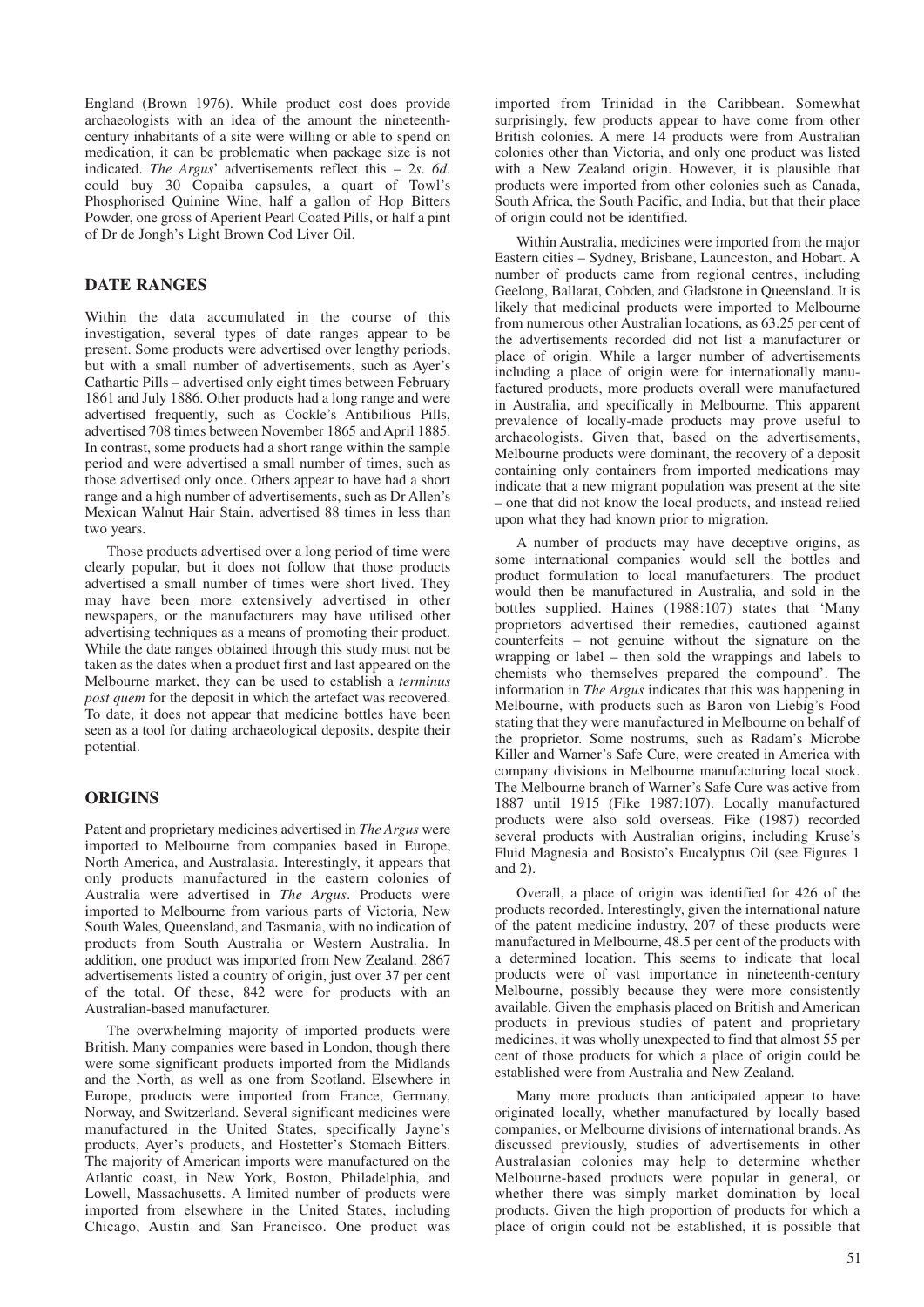England (Brown 1976). While product cost does provide archaeologists with an idea of the amount the nineteenthcentury inhabitants of a site were willing or able to spend on medication, it can be problematic when package size is not indicated. *The Argus*' advertisements reflect this – 2*s*. *6d*. could buy 30 Copaiba capsules, a quart of Towl's Phosphorised Quinine Wine, half a gallon of Hop Bitters Powder, one gross of Aperient Pearl Coated Pills, or half a pint of Dr de Jongh's Light Brown Cod Liver Oil.

# **DATE RANGES**

Within the data accumulated in the course of this investigation, several types of date ranges appear to be present. Some products were advertised over lengthy periods, but with a small number of advertisements, such as Ayer's Cathartic Pills – advertised only eight times between February 1861 and July 1886. Other products had a long range and were advertised frequently, such as Cockle's Antibilious Pills, advertised 708 times between November 1865 and April 1885. In contrast, some products had a short range within the sample period and were advertised a small number of times, such as those advertised only once. Others appear to have had a short range and a high number of advertisements, such as Dr Allen's Mexican Walnut Hair Stain, advertised 88 times in less than two years.

Those products advertised over a long period of time were clearly popular, but it does not follow that those products advertised a small number of times were short lived. They may have been more extensively advertised in other newspapers, or the manufacturers may have utilised other advertising techniques as a means of promoting their product. While the date ranges obtained through this study must not be taken as the dates when a product first and last appeared on the Melbourne market, they can be used to establish a *terminus post quem* for the deposit in which the artefact was recovered. To date, it does not appear that medicine bottles have been seen as a tool for dating archaeological deposits, despite their potential.

# **ORIGINS**

Patent and proprietary medicines advertised in *The Argus* were imported to Melbourne from companies based in Europe, North America, and Australasia. Interestingly, it appears that only products manufactured in the eastern colonies of Australia were advertised in *The Argus*. Products were imported to Melbourne from various parts of Victoria, New South Wales, Queensland, and Tasmania, with no indication of products from South Australia or Western Australia. In addition, one product was imported from New Zealand. 2867 advertisements listed a country of origin, just over 37 per cent of the total. Of these, 842 were for products with an Australian-based manufacturer.

The overwhelming majority of imported products were British. Many companies were based in London, though there were some significant products imported from the Midlands and the North, as well as one from Scotland. Elsewhere in Europe, products were imported from France, Germany, Norway, and Switzerland. Several significant medicines were manufactured in the United States, specifically Jayne's products, Ayer's products, and Hostetter's Stomach Bitters. The majority of American imports were manufactured on the Atlantic coast, in New York, Boston, Philadelphia, and Lowell, Massachusetts. A limited number of products were imported from elsewhere in the United States, including Chicago, Austin and San Francisco. One product was

imported from Trinidad in the Caribbean. Somewhat surprisingly, few products appear to have come from other British colonies. A mere 14 products were from Australian colonies other than Victoria, and only one product was listed with a New Zealand origin. However, it is plausible that products were imported from other colonies such as Canada, South Africa, the South Pacific, and India, but that their place of origin could not be identified.

Within Australia, medicines were imported from the major Eastern cities – Sydney, Brisbane, Launceston, and Hobart. A number of products came from regional centres, including Geelong, Ballarat, Cobden, and Gladstone in Queensland. It is likely that medicinal products were imported to Melbourne from numerous other Australian locations, as 63.25 per cent of the advertisements recorded did not list a manufacturer or place of origin. While a larger number of advertisements including a place of origin were for internationally manufactured products, more products overall were manufactured in Australia, and specifically in Melbourne. This apparent prevalence of locally-made products may prove useful to archaeologists. Given that, based on the advertisements, Melbourne products were dominant, the recovery of a deposit containing only containers from imported medications may indicate that a new migrant population was present at the site – one that did not know the local products, and instead relied upon what they had known prior to migration.

A number of products may have deceptive origins, as some international companies would sell the bottles and product formulation to local manufacturers. The product would then be manufactured in Australia, and sold in the bottles supplied. Haines (1988:107) states that 'Many proprietors advertised their remedies, cautioned against counterfeits – not genuine without the signature on the wrapping or label – then sold the wrappings and labels to chemists who themselves prepared the compound'. The information in *The Argus* indicates that this was happening in Melbourne, with products such as Baron von Liebig's Food stating that they were manufactured in Melbourne on behalf of the proprietor. Some nostrums, such as Radam's Microbe Killer and Warner's Safe Cure, were created in America with company divisions in Melbourne manufacturing local stock. The Melbourne branch of Warner's Safe Cure was active from 1887 until 1915 (Fike 1987:107). Locally manufactured products were also sold overseas. Fike (1987) recorded several products with Australian origins, including Kruse's Fluid Magnesia and Bosisto's Eucalyptus Oil (see Figures 1 and 2).

Overall, a place of origin was identified for 426 of the products recorded. Interestingly, given the international nature of the patent medicine industry, 207 of these products were manufactured in Melbourne, 48.5 per cent of the products with a determined location. This seems to indicate that local products were of vast importance in nineteenth-century Melbourne, possibly because they were more consistently available. Given the emphasis placed on British and American products in previous studies of patent and proprietary medicines, it was wholly unexpected to find that almost 55 per cent of those products for which a place of origin could be established were from Australia and New Zealand.

Many more products than anticipated appear to have originated locally, whether manufactured by locally based companies, or Melbourne divisions of international brands. As discussed previously, studies of advertisements in other Australasian colonies may help to determine whether Melbourne-based products were popular in general, or whether there was simply market domination by local products. Given the high proportion of products for which a place of origin could not be established, it is possible that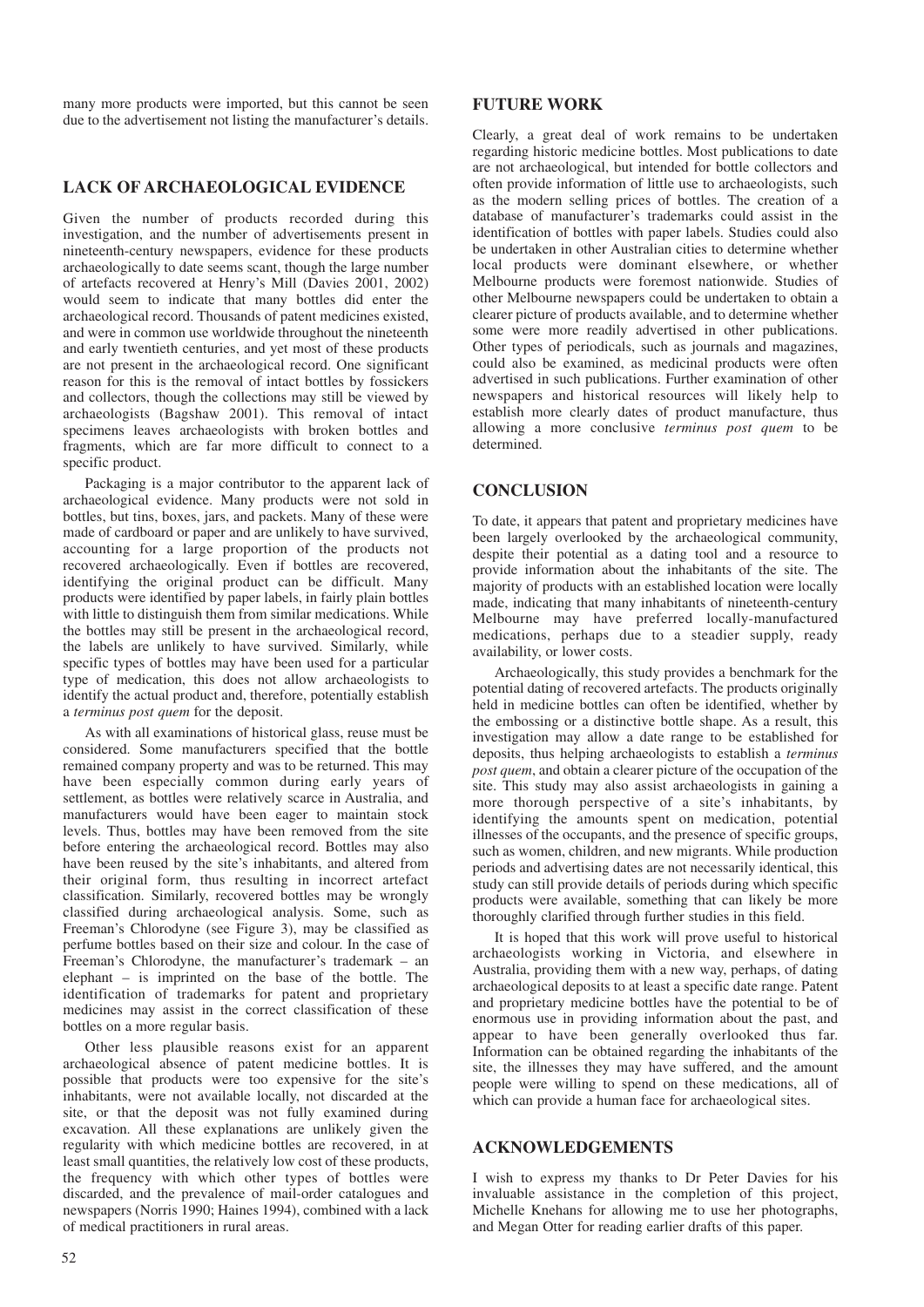many more products were imported, but this cannot be seen due to the advertisement not listing the manufacturer's details.

# **LACK OF ARCHAEOLOGICAL EVIDENCE**

Given the number of products recorded during this investigation, and the number of advertisements present in nineteenth-century newspapers, evidence for these products archaeologically to date seems scant, though the large number of artefacts recovered at Henry's Mill (Davies 2001, 2002) would seem to indicate that many bottles did enter the archaeological record. Thousands of patent medicines existed, and were in common use worldwide throughout the nineteenth and early twentieth centuries, and yet most of these products are not present in the archaeological record. One significant reason for this is the removal of intact bottles by fossickers and collectors, though the collections may still be viewed by archaeologists (Bagshaw 2001). This removal of intact specimens leaves archaeologists with broken bottles and fragments, which are far more difficult to connect to a specific product.

Packaging is a major contributor to the apparent lack of archaeological evidence. Many products were not sold in bottles, but tins, boxes, jars, and packets. Many of these were made of cardboard or paper and are unlikely to have survived, accounting for a large proportion of the products not recovered archaeologically. Even if bottles are recovered, identifying the original product can be difficult. Many products were identified by paper labels, in fairly plain bottles with little to distinguish them from similar medications. While the bottles may still be present in the archaeological record, the labels are unlikely to have survived. Similarly, while specific types of bottles may have been used for a particular type of medication, this does not allow archaeologists to identify the actual product and, therefore, potentially establish a *terminus post quem* for the deposit.

As with all examinations of historical glass, reuse must be considered. Some manufacturers specified that the bottle remained company property and was to be returned. This may have been especially common during early years of settlement, as bottles were relatively scarce in Australia, and manufacturers would have been eager to maintain stock levels. Thus, bottles may have been removed from the site before entering the archaeological record. Bottles may also have been reused by the site's inhabitants, and altered from their original form, thus resulting in incorrect artefact classification. Similarly, recovered bottles may be wrongly classified during archaeological analysis. Some, such as Freeman's Chlorodyne (see Figure 3), may be classified as perfume bottles based on their size and colour. In the case of Freeman's Chlorodyne, the manufacturer's trademark – an elephant – is imprinted on the base of the bottle. The identification of trademarks for patent and proprietary medicines may assist in the correct classification of these bottles on a more regular basis.

Other less plausible reasons exist for an apparent archaeological absence of patent medicine bottles. It is possible that products were too expensive for the site's inhabitants, were not available locally, not discarded at the site, or that the deposit was not fully examined during excavation. All these explanations are unlikely given the regularity with which medicine bottles are recovered, in at least small quantities, the relatively low cost of these products, the frequency with which other types of bottles were discarded, and the prevalence of mail-order catalogues and newspapers (Norris 1990; Haines 1994), combined with a lack of medical practitioners in rural areas.

# **FUTURE WORK**

Clearly, a great deal of work remains to be undertaken regarding historic medicine bottles. Most publications to date are not archaeological, but intended for bottle collectors and often provide information of little use to archaeologists, such as the modern selling prices of bottles. The creation of a database of manufacturer's trademarks could assist in the identification of bottles with paper labels. Studies could also be undertaken in other Australian cities to determine whether local products were dominant elsewhere, or whether Melbourne products were foremost nationwide. Studies of other Melbourne newspapers could be undertaken to obtain a clearer picture of products available, and to determine whether some were more readily advertised in other publications. Other types of periodicals, such as journals and magazines, could also be examined, as medicinal products were often advertised in such publications. Further examination of other newspapers and historical resources will likely help to establish more clearly dates of product manufacture, thus allowing a more conclusive *terminus post quem* to be determined.

# **CONCLUSION**

To date, it appears that patent and proprietary medicines have been largely overlooked by the archaeological community, despite their potential as a dating tool and a resource to provide information about the inhabitants of the site. The majority of products with an established location were locally made, indicating that many inhabitants of nineteenth-century Melbourne may have preferred locally-manufactured medications, perhaps due to a steadier supply, ready availability, or lower costs.

Archaeologically, this study provides a benchmark for the potential dating of recovered artefacts. The products originally held in medicine bottles can often be identified, whether by the embossing or a distinctive bottle shape. As a result, this investigation may allow a date range to be established for deposits, thus helping archaeologists to establish a *terminus post quem*, and obtain a clearer picture of the occupation of the site. This study may also assist archaeologists in gaining a more thorough perspective of a site's inhabitants, by identifying the amounts spent on medication, potential illnesses of the occupants, and the presence of specific groups, such as women, children, and new migrants. While production periods and advertising dates are not necessarily identical, this study can still provide details of periods during which specific products were available, something that can likely be more thoroughly clarified through further studies in this field.

It is hoped that this work will prove useful to historical archaeologists working in Victoria, and elsewhere in Australia, providing them with a new way, perhaps, of dating archaeological deposits to at least a specific date range. Patent and proprietary medicine bottles have the potential to be of enormous use in providing information about the past, and appear to have been generally overlooked thus far. Information can be obtained regarding the inhabitants of the site, the illnesses they may have suffered, and the amount people were willing to spend on these medications, all of which can provide a human face for archaeological sites.

# **ACKNOWLEDGEMENTS**

I wish to express my thanks to Dr Peter Davies for his invaluable assistance in the completion of this project, Michelle Knehans for allowing me to use her photographs, and Megan Otter for reading earlier drafts of this paper.